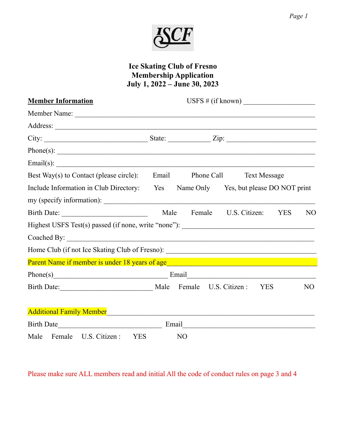

# **Ice Skating Club of Fresno Membership Application July 1, 2022 – June 30, 2023**

| <b>Member Information</b>                                                         |       |                                                                 |            |                          |                                        |                |  |
|-----------------------------------------------------------------------------------|-------|-----------------------------------------------------------------|------------|--------------------------|----------------------------------------|----------------|--|
|                                                                                   |       |                                                                 |            |                          |                                        |                |  |
|                                                                                   |       |                                                                 |            |                          |                                        |                |  |
|                                                                                   |       |                                                                 |            |                          |                                        |                |  |
|                                                                                   |       |                                                                 |            |                          |                                        |                |  |
| $\text{Email(s)}:$                                                                |       |                                                                 |            |                          |                                        |                |  |
| Best Way(s) to Contact (please circle):                                           | Email |                                                                 | Phone Call |                          | <b>Text Message</b>                    |                |  |
| Include Information in Club Directory: Yes                                        |       |                                                                 |            |                          | Name Only Yes, but please DO NOT print |                |  |
|                                                                                   |       |                                                                 |            |                          |                                        |                |  |
|                                                                                   |       |                                                                 |            | Female U.S. Citizen: YES |                                        | N <sub>O</sub> |  |
| Highest USFS Test(s) passed (if none, write "none"): ____________________________ |       |                                                                 |            |                          |                                        |                |  |
|                                                                                   |       |                                                                 |            |                          |                                        |                |  |
| Home Club (if not Ice Skating Club of Fresno): __________________________________ |       |                                                                 |            |                          |                                        |                |  |
|                                                                                   |       |                                                                 |            |                          |                                        |                |  |
| Phone(s) Email Email Email                                                        |       |                                                                 |            |                          |                                        |                |  |
| Birth Date: VES Male Female U.S. Citizen: YES                                     |       |                                                                 |            |                          |                                        | N <sub>O</sub> |  |
|                                                                                   |       |                                                                 |            |                          |                                        |                |  |
| <b>Additional Family Member</b>                                                   |       |                                                                 |            |                          |                                        |                |  |
| Birth Date                                                                        |       | Email<br><u> 1980 - Jan Barbara Barbara, maska karatan da a</u> |            |                          |                                        |                |  |
| Male Female U.S. Citizen: YES                                                     |       | N <sub>O</sub>                                                  |            |                          |                                        |                |  |

Please make sure ALL members read and initial All the code of conduct rules on page 3 and 4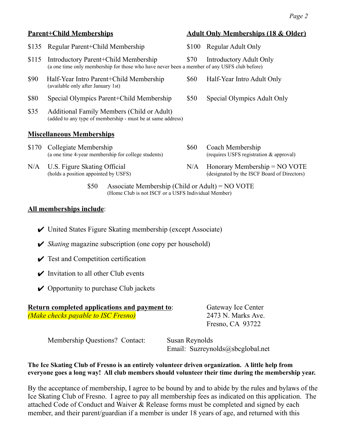# **Parent+Child Memberships Adult Only Memberships** (18 & Older) \$135 Regular Parent+Child Membership \$100 Regular Adult Only \$115 Introductory Parent+Child Membership \$70 Introductory Adult Only (a one time only membership for those who have never been a member of any USFS club before) \$90 Half-Year Intro Parent+Child Membership \$60 Half-Year Intro Adult Only (available only after January 1st) \$80 Special Olympics Parent+Child Membership \$50 Special Olympics Adult Only \$35 Additional Family Members (Child or Adult) (added to any type of membership - must be at same address) **Miscellaneous Memberships** \$170 Collegiate Membership  $$60$  Coach Membership (a one time 4-year membership for college students) (requires USFS registration & approval) N/A U.S. Figure Skating Official N/A Honorary Membership = NO VOTE (holds a position appointed by USFS) (designated by the ISCF Board of Directors) (designated by the ISCF Board of Directors) \$50 Associate Membership (Child or Adult) = NO VOTE

(Home Club is not ISCF or a USFS Individual Member)

## **All memberships include**:

- $\vee$  United States Figure Skating membership (except Associate)
- ✔ *Skating* magazine subscription (one copy per household)
- $\checkmark$  Test and Competition certification
- $\triangleright$  Invitation to all other Club events
- $\vee$  Opportunity to purchase Club jackets

### **Return completed applications and payment to:** Gateway Ice Center *(Make checks payable to ISC Fresno)* 2473 N. Marks Ave.

Fresno, CA 93722

Membership Questions? Contact: Susan Reynolds

Email: Suzreynolds@sbcglobal.net

### **The Ice Skating Club of Fresno is an entirely volunteer driven organization. A little help from everyone goes a long way! All club members should volunteer their time during the membership year.**

By the acceptance of membership, I agree to be bound by and to abide by the rules and bylaws of the Ice Skating Club of Fresno. I agree to pay all membership fees as indicated on this application. The attached Code of Conduct and Waiver & Release forms must be completed and signed by each member, and their parent/guardian if a member is under 18 years of age, and returned with this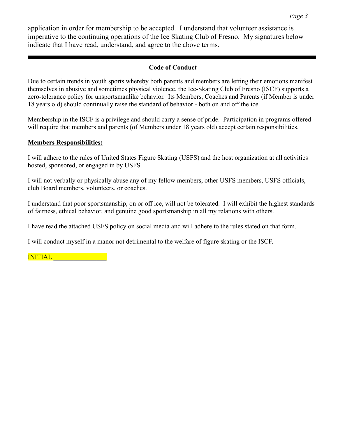application in order for membership to be accepted. I understand that volunteer assistance is imperative to the continuing operations of the Ice Skating Club of Fresno. My signatures below indicate that I have read, understand, and agree to the above terms.

# **Code of Conduct**

Due to certain trends in youth sports whereby both parents and members are letting their emotions manifest themselves in abusive and sometimes physical violence, the Ice-Skating Club of Fresno (ISCF) supports a zero-tolerance policy for unsportsmanlike behavior. Its Members, Coaches and Parents (if Member is under 18 years old) should continually raise the standard of behavior - both on and off the ice.

Membership in the ISCF is a privilege and should carry a sense of pride. Participation in programs offered will require that members and parents (of Members under 18 years old) accept certain responsibilities.

### **Members Responsibilities:**

I will adhere to the rules of United States Figure Skating (USFS) and the host organization at all activities hosted, sponsored, or engaged in by USFS.

I will not verbally or physically abuse any of my fellow members, other USFS members, USFS officials, club Board members, volunteers, or coaches.

I understand that poor sportsmanship, on or off ice, will not be tolerated. I will exhibit the highest standards of fairness, ethical behavior, and genuine good sportsmanship in all my relations with others.

I have read the attached USFS policy on social media and will adhere to the rules stated on that form.

I will conduct myself in a manor not detrimental to the welfare of figure skating or the ISCF.

INITIAL \_\_\_\_\_\_\_\_\_\_\_\_\_\_\_\_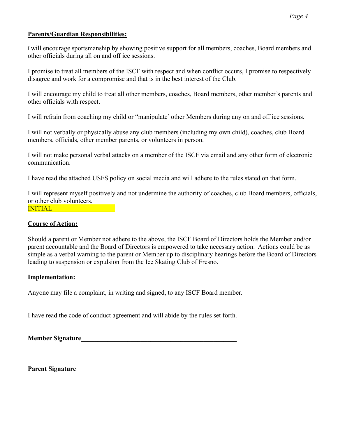#### **Parents/Guardian Responsibilities:**

I will encourage sportsmanship by showing positive support for all members, coaches, Board members and other officials during all on and off ice sessions.

I promise to treat all members of the ISCF with respect and when conflict occurs, I promise to respectively disagree and work for a compromise and that is in the best interest of the Club.

I will encourage my child to treat all other members, coaches, Board members, other member's parents and other officials with respect.

I will refrain from coaching my child or "manipulate' other Members during any on and off ice sessions.

I will not verbally or physically abuse any club members (including my own child), coaches, club Board members, officials, other member parents, or volunteers in person.

I will not make personal verbal attacks on a member of the ISCF via email and any other form of electronic communication.

I have read the attached USFS policy on social media and will adhere to the rules stated on that form.

I will represent myself positively and not undermine the authority of coaches, club Board members, officials, or other club volunteers. INITIAL\_\_\_\_\_\_\_\_\_\_\_\_\_\_\_\_\_\_\_

#### **Course of Action:**

Should a parent or Member not adhere to the above, the ISCF Board of Directors holds the Member and/or parent accountable and the Board of Directors is empowered to take necessary action. Actions could be as simple as a verbal warning to the parent or Member up to disciplinary hearings before the Board of Directors leading to suspension or expulsion from the Ice Skating Club of Fresno.

#### **Implementation:**

Anyone may file a complaint, in writing and signed, to any ISCF Board member.

I have read the code of conduct agreement and will abide by the rules set forth.

**Member Signature\_\_\_\_\_\_\_\_\_\_\_\_\_\_\_\_\_\_\_\_\_\_\_\_\_\_\_\_\_\_\_\_\_\_\_\_\_\_\_\_\_\_\_\_\_\_\_**

Parent Signature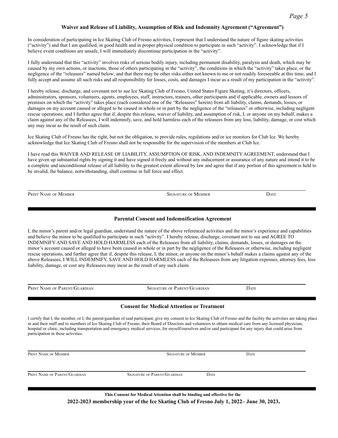#### **Waiver and Release of Liability, Assumption of Risk and Indemnity Agreement ("Agreement")**

In consideration of participating in Ice Skating Club of Fresno activities, I represent that I understand the nature of figure skating activities ("activity") and that I am qualified, in good health and in proper physical condition to participate in such "activity". I acknowledge that if I believe event conditions are unsafe, I will immediately discontinue participation in the "activity".

I fully understand that this "activity" involves risks of serious bodily injury, including permanent disability, paralysis and death, which may be caused by my own actions, or inactions, those of others participating in the "activity", the conditions in which the "activity" takes place, or the negligence of the "releasees" named below; and that there may be other risks either not known to me or not readily foreseeable at this time; and I fully accept and assume all such risks and all responsibility for losses, costs, and damages I incur as a result of my participation in the "activity".

I hereby release, discharge, and covenant not to sue Ice Skating Club of Fresno, United States Figure Skating, it's directors, officers, administrators, sponsors, volunteers, agents, employees, staff, instructors, trainers, other participants and if applicable, owners and lessors of premises on which the "activity" takes place (each considered one of the "Releasees" herein) from all liability, claims, demands, losses, or damages on my account caused or alleged to be caused in whole or in part by the negligence of the "releasess" or otherwise, including negligent rescue operations; and I further agree that if, despite this release, waiver of liability, and assumption of risk, I, or anyone on my behalf, makes a claim against any of the Releasees, I will indemnify, save, and hold harmless each of the releasees from any loss, liability, damage, or cost which any may incur as the result of such claim.

Ice Skating Club of Fresno has the right, but not the obligation, to provide rules, regulations and/or ice monitors for Club Ice. We hereby acknowledge that Ice Skating Club of Fresno shall not be responsible for the supervision of the members at Club Ice.

I have read this WAIVER AND RELEASE OF LIABILITY, ASSUMPTION OF RISK, AND INDEMNITY AGREEMENT, understand that I have given up substantial rights by signing it and have signed it freely and without any inducement or assurance of any nature and intend it to be a complete and unconditional release of all liability to the greatest extent allowed by law and agree that if any portion of this agreement is held to be invalid, the balance, notwithstanding, shall continue in full force and effect.

**PRINT NAME OF MEMBER** DATE **SIGNATURE OF MEMBER** DATE

#### **Parental Consent and Indemnification Agreement**

I, the minor's parent and/or legal guardian, understand the nature of the above referenced activities and the minor's experience and capabilities and believe the minor to be qualified to participate in such "activity". I hereby release, discharge, covenant not to sue and AGREE TO INDEMNIFY AND SAVE AND HOLD HARMLESS each of the Releasees from all liability, claims, demands, losses, or damages on the minor's account caused or alleged to have been caused in whole or in part by the negligence of the Releasees or otherwise, including negligent rescue operations, and further agree that if, despite this release, I, the minor, or anyone on the minor's behalf makes a claims against any of the above Releasees, I WILL INDEMNIFY, SAVE AND HOLD HARMLESS each of the Releasees from any litigation expenses, attorney fees, loss liability, damage, or cost any Releasees may incur as the result of any such claim.

PRINT NAME OF PARENT/GUARDIAN SIGNATURE OF PARENT/GUARDIAN DATE

#### **Consent for Medical Attention or Treatment**

I certify that I, the member, or I, the parent/guardian of said participant, give my consent to Ice Skating Club of Fresno and the facility the activities are taking place in and their staff and to members of Ice Skating Club of Fresno, their Board of Directors and volunteers to obtain medical care from any licensed physician, hospital or clinic, including transportation and emergency medical services, for myself/ourselves and/or said participant for any injury that could arise from participation in these activities.

**PRINT NAME OF MEMBER DATE** 

PRINT NAME OF PARENT/GUARDIAN SIGNATURE OF PARENT/GUARDIAN DATE

**This Consent for Medical Attention shall be binding and effective for the**

**2022-2023 membership year of the Ice Skating Club of Fresno July 1, 2022– June 30, 2023.**